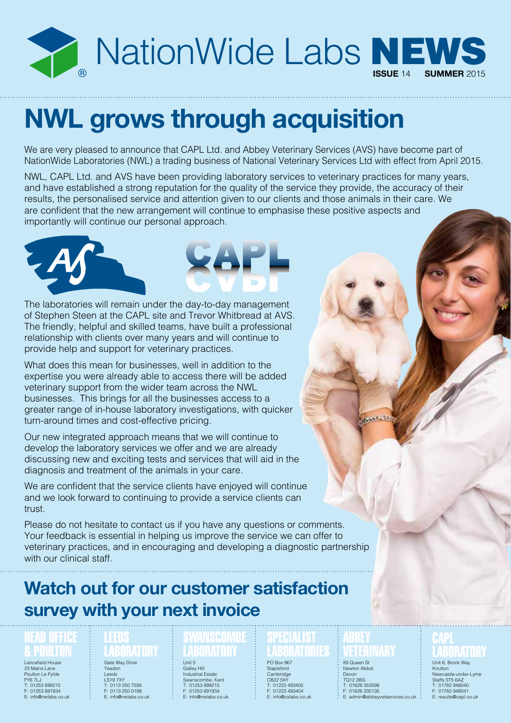

## **NWL grows through acquisition**

We are very pleased to announce that CAPL Ltd. and Abbey Veterinary Services (AVS) have become part of NationWide Laboratories (NWL) a trading business of National Veterinary Services Ltd with effect from April 2015.

NWL, CAPL Ltd. and AVS have been providing laboratory services to veterinary practices for many years, and have established a strong reputation for the quality of the service they provide, the accuracy of their results, the personalised service and attention given to our clients and those animals in their care. We are confident that the new arrangement will continue to emphasise these positive aspects and importantly will continue our personal approach.





The laboratories will remain under the day-to-day management of Stephen Steen at the CAPL site and Trevor Whitbread at AVS. The friendly, helpful and skilled teams, have built a professional relationship with clients over many years and will continue to provide help and support for veterinary practices.

What does this mean for businesses, well in addition to the expertise you were already able to access there will be added veterinary support from the wider team across the NWL businesses. This brings for all the businesses access to a greater range of in-house laboratory investigations, with quicker turn-around times and cost-effective pricing.

Our new integrated approach means that we will continue to develop the laboratory services we offer and we are already discussing new and exciting tests and services that will aid in the diagnosis and treatment of the animals in your care.

We are confident that the service clients have enjoyed will continue and we look forward to continuing to provide a service clients can trust.

Please do not hesitate to contact us if you have any questions or comments. Your feedback is essential in helping us improve the service we can offer to veterinary practices, and in encouraging and developing a diagnostic partnership with our clinical staff.

### **Watch out for our customer satisfaction survey with your next invoice**

### HEAD OFFICE & POULTON

Lancefield House 23 Mains Lane Poulton Le Fylde FY6 7LJ T: 01253 899215 F: 01253 891934 E: info@nwlabs.co.uk

#### **LEEDS** LABORATORY

Gate Way Drive Yeadon Leeds LS19 7XY T: 0113 250 7556 F: 0113 250 0198 E: info@nwlabs.co.uk

### **SWANSCOMBE** LABORATORY

Unit 5 Galley Hill Industrial Estate Swanscombe, Kent T: 01253 899215 F: 01253 891934 E: info@nwlabs.co.uk

#### SPECIALIST LABORATORIES PO Box 967

**Stapleford** Cambridge CB22 5XY T: 01223 493400 F: 01223 493404 E: info@cslabs.co.uk

### VETERINARY 89 Queen St

Newton Abbot Devon TQ12 2BG T: 01626 353598 F: 01626 335135 E: admin@abbeyvetservices.co.uk

### **CAPL** LABORATORY Unit 6, Brock Way

Knutton Newcastle-under-Lyn Staffs ST5 6AZ T: 01782 948040 F: 01782 948041 E: results@capl.co.uk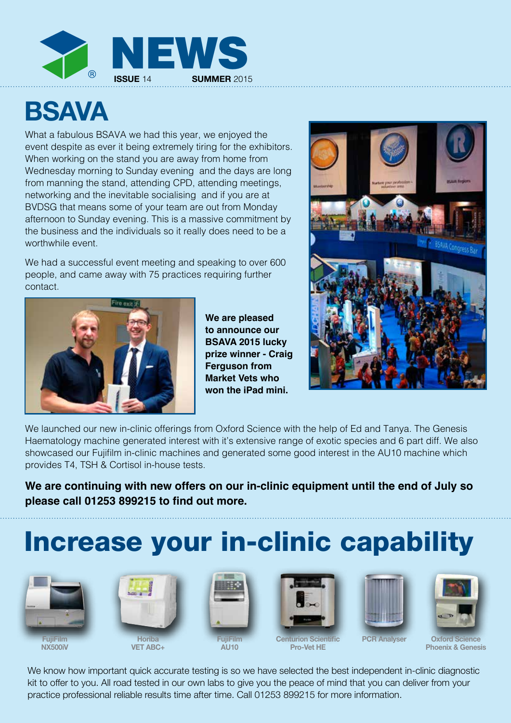

## **BSAVA**

What a fabulous BSAVA we had this year, we enjoyed the event despite as ever it being extremely tiring for the exhibitors. When working on the stand you are away from home from Wednesday morning to Sunday evening and the days are long from manning the stand, attending CPD, attending meetings, networking and the inevitable socialising and if you are at BVDSG that means some of your team are out from Monday afternoon to Sunday evening. This is a massive commitment by the business and the individuals so it really does need to be a worthwhile event.

We had a successful event meeting and speaking to over 600 people, and came away with 75 practices requiring further contact.



**We are pleased to announce our BSAVA 2015 lucky prize winner - Craig Ferguson from Market Vets who won the iPad mini.**



We launched our new in-clinic offerings from Oxford Science with the help of Ed and Tanya. The Genesis Haematology machine generated interest with it's extensive range of exotic species and 6 part diff. We also showcased our Fujifilm in-clinic machines and generated some good interest in the AU10 machine which provides T4, TSH & Cortisol in-house tests.

**We are continuing with new offers on our in-clinic equipment until the end of July so please call 01253 899215 to find out more.**

## Increase your in-clinic capability





**VET ABC+**



**AU10**



**Centurion Scientific Pro-Vet HE**





**PCR Analyser Oxford Science Phoenix & Genesis**

We know how important quick accurate testing is so we have selected the best independent in-clinic diagnostic kit to offer to you. All road tested in our own labs to give you the peace of mind that you can deliver from your practice professional reliable results time after time. Call 01253 899215 for more information.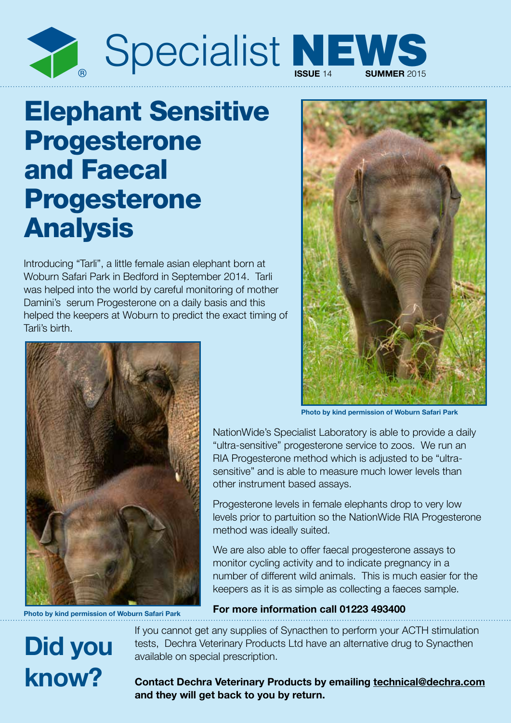

## Elephant Sensitive Progesterone and Faecal Progesterone Analysis

Introducing "Tarli", a little female asian elephant born at Woburn Safari Park in Bedford in September 2014. Tarli was helped into the world by careful monitoring of mother Damini's serum Progesterone on a daily basis and this helped the keepers at Woburn to predict the exact timing of Tarli's birth.



**Photo by kind permission of Woburn Safari Park**

NationWide's Specialist Laboratory is able to provide a daily "ultra-sensitive" progesterone service to zoos. We run an RIA Progesterone method which is adjusted to be "ultrasensitive" and is able to measure much lower levels than other instrument based assays.

Progesterone levels in female elephants drop to very low levels prior to partuition so the NationWide RIA Progesterone method was ideally suited.

We are also able to offer faecal progesterone assays to monitor cycling activity and to indicate pregnancy in a number of different wild animals. This is much easier for the keepers as it is as simple as collecting a faeces sample.



**For more information call 01223 493400**

If you cannot get any supplies of Synacthen to perform your ACTH stimulation tests, Dechra Veterinary Products Ltd have an alternative drug to Synacthen available on special prescription.

**Contact Dechra Veterinary Products by emailing technical@dechra.com and they will get back to you by return.**



**Photo by kind permission of Woburn Safari Park**

**Did you**

**know?**